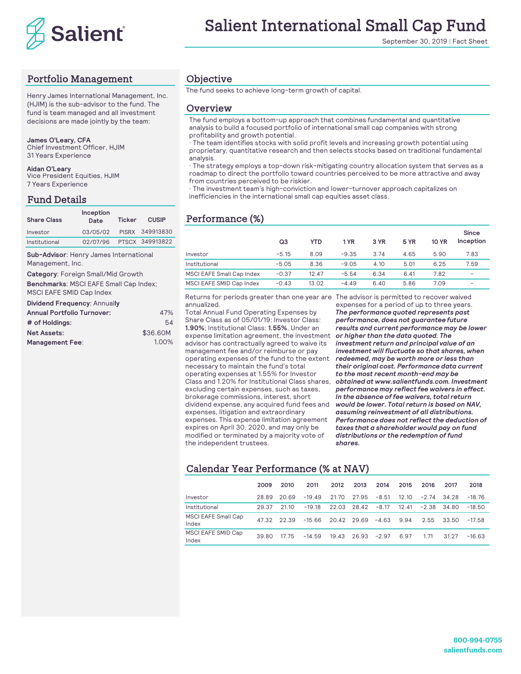

September 30, 2019 | Fact Sheet

# Portfolio Management

Henry James International Management, Inc. (HJIM) is the sub-advisor to the fund. The fund is team managed and all investment decisions are made jointly by the team:

#### **James O'Leary, CFA**

Chief Investment Officer, HJIM 31 Years Experience

#### **Aidan O'Leary**

Vice President Equities, HJIM 7 Years Experience

#### Fund Details

| <b>Share Class</b> | Inception<br>Date        | Ticker | <b>CUSIP</b>    |
|--------------------|--------------------------|--------|-----------------|
| Investor           | 03/05/02                 |        | PISRX 349913830 |
| Institutional      | 02/07/96 PTSCX 349913822 |        |                 |

**Sub-Advisor**: Henry James International Management, Inc.

Category: Foreign Small/Mid Growth

**Benchmarks**: MSCI EAFE Small Cap Index; MSCI EAFE SMID Cap Index

#### **Dividend Frequency**: Annual**ly**

| 54       |
|----------|
|          |
| 1.00%    |
| \$36,60M |

### Objective

The fund seeks to achieve long-term growth of capital.

#### Overview

The fund employs a bottom-up approach that combines fundamental and quantitative analysis to build a focused portfolio of international small cap companies with strong profitability and growth potential.

· The team identifies stocks with solid profit levels and increasing growth potential using proprietary, quantitative research and then selects stocks based on traditional fundamental analysis.

· The strategy employs a top-down risk-mitigating country allocation system that serves as a roadmap to direct the portfolio toward countries perceived to be more attractive and away from countries perceived to be riskier.

· The investment team's high-conviction and lower-turnover approach capitalizes on inefficiencies in the international small cap equities asset class.

# **Performance** (%)

| 349913830 |                                  |         |       |         |      |             |              | Since     |
|-----------|----------------------------------|---------|-------|---------|------|-------------|--------------|-----------|
| 349913822 |                                  | Q3      | YTD   | 1 YR    | 3 YR | <b>5 YR</b> | <b>10 YR</b> | Inception |
| onal      | Investor                         | $-5.15$ | 8.09  | $-9.35$ | 3.74 | 4.65        | 5.90         | 7.83      |
|           | Institutional                    | $-5.05$ | 8.36  | $-9.05$ | 4.10 | 5.01        | 6.25         | 7.59      |
|           | <b>MSCI EAFE Small Cap Index</b> | $-0.37$ | 12.47 | $-5.54$ | 6.34 | 6.41        | 7.82         |           |
| ndex:     | MSCI EAFE SMID Cap Index         | $-0.43$ | 13.02 | $-4.49$ | 6.40 | 5.86        | 7.09         |           |

Returns for periods greater than one year are The advisor is permitted to recover waived annualized.

Total Annual Fund Operating Expenses by Share Class as of 05/01/19: Investor Class: **1.90%**; Institutional Class: **1.55%**. Under an expense limitation agreement, the investment advisor has contractually agreed to waive its management fee and/or reimburse or pay operating expenses of the fund to the extent necessary to maintain the fund's total operating expenses at 1.55% for Investor Class and 1.20% for Institutional Class shares, excluding certain expenses, such as taxes, brokerage commissions, interest, short dividend expense, any acquired fund fees and expenses, litigation and extraordinary expenses. This expense limitation agreement expires on April 30, 2020, and may only be modified or terminated by a majority vote of the independent trustees.

expenses for a period of up to three years. *The performance quoted represents past performance, does not guarantee future results and current performance may be lower or higher than the data quoted. The investment return and principal value of an investment will fluctuate so that shares, when redeemed, may be worth more or less than their original cost. Performance data current to the most recent month-end may be obtained at www.salientfunds.com. Investment performance may reflect fee waivers in effect. In the absence of fee waivers, total return would be lower. Total return is based on NAV, assuming reinvestment of all distributions. Performance does not reflect the deduction of taxes that a shareholder would pay on fund distributions or the redemption of fund shares.*

## Calendar Year Performance (% at NAV)

|                                     | 2009  | 2010  | 2011     | 2012        | 2013        | 2014    | 2015  | 2016            | 2017  | 2018     |
|-------------------------------------|-------|-------|----------|-------------|-------------|---------|-------|-----------------|-------|----------|
| Investor                            | 28.89 | 20.69 | $-19.49$ | 21.70       | 27.95       | $-8.51$ | 12.10 | $-2.74$ 34.28   |       | -18.76   |
| Institutional                       | 29.37 | 21.10 | $-19.18$ |             | 22.03 28.42 | $-8.17$ | 12.41 | $-2.38$ $34.80$ |       | $-18.50$ |
| <b>MSCI EAFE Small Cap</b><br>Index | 47.32 | 22.39 | -15.66   | 20.42 29.69 |             | $-4.63$ | 9.94  | 2.55            | 33.50 | $-17.58$ |
| MSCI EAFE SMID Cap<br>Index         | 39.80 | 17 75 | $-14.59$ | 19.43       | 26.93       | $-2.97$ | 6.97  | 1.71            | 31 27 | $-16.63$ |